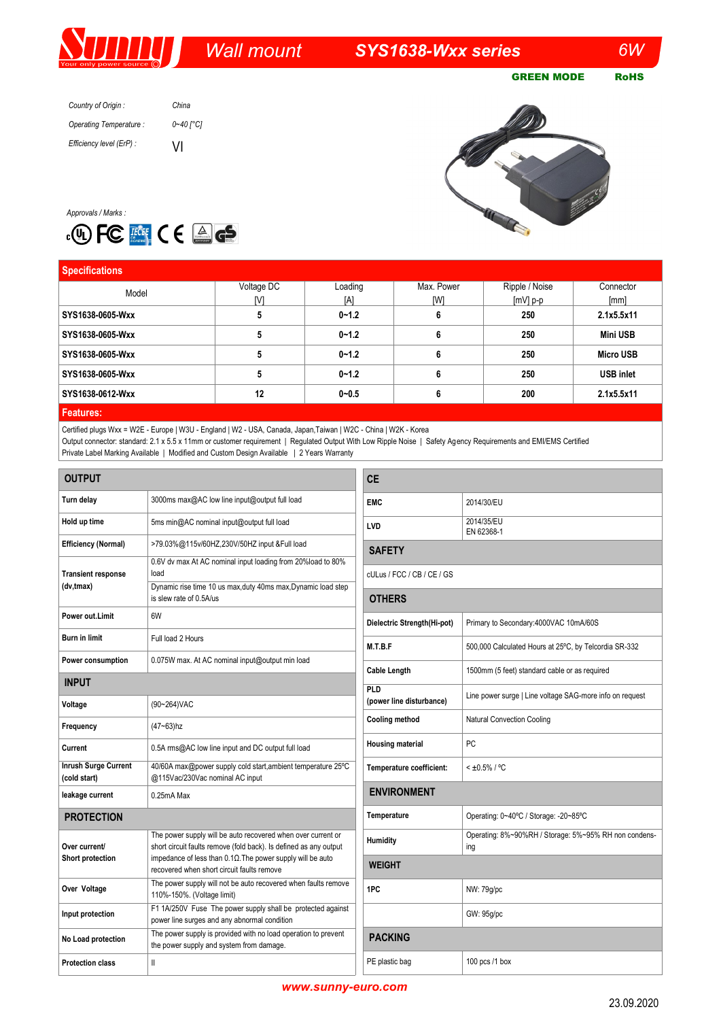# *Wall mount SYS1638-Wxx series 6W*

GREEN MODE RoHS

*Country of Origin : Operating Temperature : Efficiency level (ErP) : China 0~40 [°C]* VI



*Approvals / Marks :*



| <b>Specifications</b>        |            |           |            |                |                  |
|------------------------------|------------|-----------|------------|----------------|------------------|
| Model                        | Voltage DC | Loading   | Max. Power | Ripple / Noise | Connector        |
|                              | M          | [A]       | [W]        | $[mV]$ p-p     | [mm]             |
| SYS1638-0605-Wxx             |            | $0 - 1.2$ |            | 250            | 2.1x5.5x11       |
| SYS1638-0605-Wxx             |            | $0 - 1.2$ |            | 250            | <b>Mini USB</b>  |
| SYS1638-0605-Wxx             |            | $0 - 1.2$ |            | 250            | <b>Micro USB</b> |
| SYS1638-0605-Wxx             |            | $0 - 1.2$ |            | 250            | <b>USB inlet</b> |
| SYS1638-0612-Wxx             | 12         | $0 - 0.5$ |            | 200            | 2.1x5.5x11       |
| <b>International Control</b> |            |           |            |                |                  |

### **Features:**

Certified plugs Wxx = W2E - Europe | W3U - England | W2 - USA, Canada, Japan,Taiwan | W2C - China | W2K - Korea Output connector: standard: 2.1 x 5.5 x 11mm or customer requirement | Regulated Output With Low Ripple Noise | Safety Agency Requirements and EMI/EMS Certified Private Label Marking Available | Modified and Custom Design Available | 2 Years Warranty

| <b>OUTPUT</b>                               |                                                                                                                                   | <b>CE</b>                   |                                                              |  |  |
|---------------------------------------------|-----------------------------------------------------------------------------------------------------------------------------------|-----------------------------|--------------------------------------------------------------|--|--|
| Turn delay                                  | 3000ms max@AC low line input@output full load                                                                                     | <b>EMC</b>                  | 2014/30/EU                                                   |  |  |
| Hold up time                                | 5ms min@AC nominal input@output full load                                                                                         | LVD                         | 2014/35/EU<br>EN 62368-1                                     |  |  |
| <b>Efficiency (Normal)</b>                  | >79.03%@115v/60HZ,230V/50HZ input &Full load                                                                                      |                             | <b>SAFETY</b>                                                |  |  |
| <b>Transient response</b>                   | 0.6V dv max At AC nominal input loading from 20%load to 80%<br>load                                                               | cULus / FCC / CB / CE / GS  |                                                              |  |  |
| (dv,tmax)                                   | Dynamic rise time 10 us max, duty 40ms max, Dynamic load step<br>is slew rate of 0.5A/us                                          | <b>OTHERS</b>               |                                                              |  |  |
| Power out.Limit                             | 6W                                                                                                                                | Dielectric Strength(Hi-pot) | Primary to Secondary: 4000VAC 10mA/60S                       |  |  |
| <b>Burn in limit</b>                        | Full load 2 Hours                                                                                                                 | M.T.B.F                     | 500,000 Calculated Hours at 25°C, by Telcordia SR-332        |  |  |
| Power consumption                           | 0.075W max. At AC nominal input@output min load                                                                                   | Cable Length                | 1500mm (5 feet) standard cable or as required                |  |  |
| <b>INPUT</b>                                |                                                                                                                                   | PLD                         |                                                              |  |  |
| Voltage                                     | (90~264) VAC                                                                                                                      | (power line disturbance)    | Line power surge   Line voltage SAG-more info on request     |  |  |
| Frequency                                   | $(47 - 63)$ hz                                                                                                                    | Cooling method              | Natural Convection Cooling                                   |  |  |
| Current                                     | 0.5A rms@AC low line input and DC output full load                                                                                | <b>Housing material</b>     | PC                                                           |  |  |
| <b>Inrush Surge Current</b><br>(cold start) | 40/60A max@power supply cold start, ambient temperature 25°C<br>@115Vac/230Vac nominal AC input                                   | Temperature coefficient:    | $< 10.5\% / °C$                                              |  |  |
| leakage current                             | $0.25mA$ Max                                                                                                                      | <b>ENVIRONMENT</b>          |                                                              |  |  |
| <b>PROTECTION</b>                           |                                                                                                                                   | Temperature                 | Operating: 0~40°C / Storage: -20~85°C                        |  |  |
| Over current/<br>Short protection           | The power supply will be auto recovered when over current or<br>short circuit faults remove (fold back). Is defined as any output | Humidity                    | Operating: 8%~90%RH / Storage: 5%~95% RH non condens-<br>ing |  |  |
|                                             | impedance of less than $0.1\Omega$ . The power supply will be auto<br>recovered when short circuit faults remove                  | <b>WEIGHT</b>               |                                                              |  |  |
| Over Voltage                                | The power supply will not be auto recovered when faults remove<br>110%-150%. (Voltage limit)                                      | 1PC                         | NW: 79q/pc                                                   |  |  |
| Input protection                            | F1 1A/250V Fuse The power supply shall be protected against<br>power line surges and any abnormal condition                       |                             | GW: 95g/pc                                                   |  |  |
| No Load protection                          | The power supply is provided with no load operation to prevent<br>the power supply and system from damage.                        | <b>PACKING</b>              |                                                              |  |  |
| <b>Protection class</b>                     | Ш                                                                                                                                 | PE plastic bag              | 100 pcs /1 box                                               |  |  |